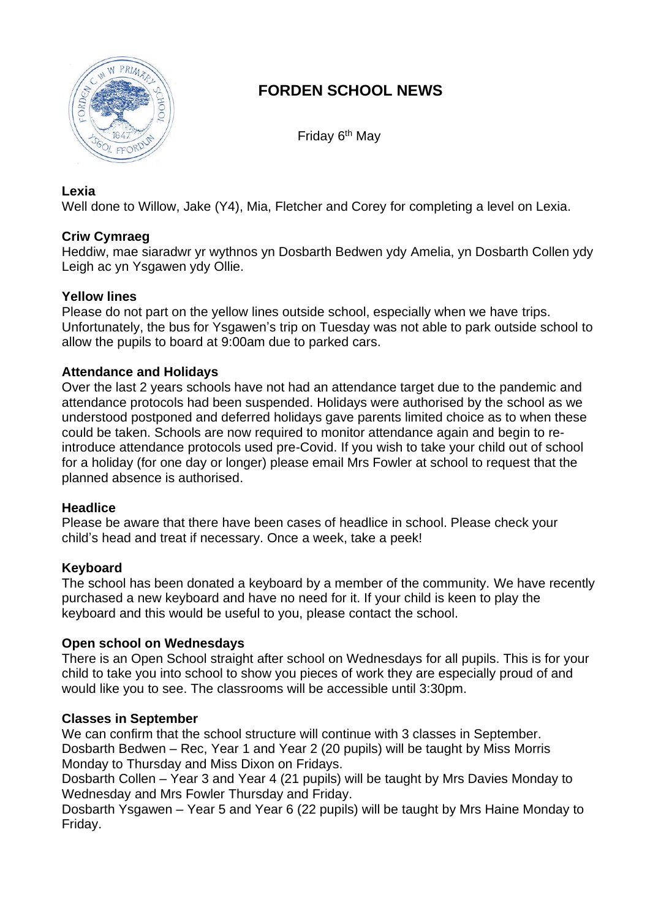

# **FORDEN SCHOOL NEWS**

Friday 6<sup>th</sup> May

## **Lexia**

Well done to Willow, Jake (Y4), Mia, Fletcher and Corey for completing a level on Lexia.

## **Criw Cymraeg**

Heddiw, mae siaradwr yr wythnos yn Dosbarth Bedwen ydy Amelia, yn Dosbarth Collen ydy Leigh ac yn Ysgawen ydy Ollie.

## **Yellow lines**

Please do not part on the yellow lines outside school, especially when we have trips. Unfortunately, the bus for Ysgawen's trip on Tuesday was not able to park outside school to allow the pupils to board at 9:00am due to parked cars.

## **Attendance and Holidays**

Over the last 2 years schools have not had an attendance target due to the pandemic and attendance protocols had been suspended. Holidays were authorised by the school as we understood postponed and deferred holidays gave parents limited choice as to when these could be taken. Schools are now required to monitor attendance again and begin to reintroduce attendance protocols used pre-Covid. If you wish to take your child out of school for a holiday (for one day or longer) please email Mrs Fowler at school to request that the planned absence is authorised.

## **Headlice**

Please be aware that there have been cases of headlice in school. Please check your child's head and treat if necessary. Once a week, take a peek!

## **Keyboard**

The school has been donated a keyboard by a member of the community. We have recently purchased a new keyboard and have no need for it. If your child is keen to play the keyboard and this would be useful to you, please contact the school.

## **Open school on Wednesdays**

There is an Open School straight after school on Wednesdays for all pupils. This is for your child to take you into school to show you pieces of work they are especially proud of and would like you to see. The classrooms will be accessible until 3:30pm.

#### **Classes in September**

We can confirm that the school structure will continue with 3 classes in September. Dosbarth Bedwen – Rec, Year 1 and Year 2 (20 pupils) will be taught by Miss Morris Monday to Thursday and Miss Dixon on Fridays.

Dosbarth Collen – Year 3 and Year 4 (21 pupils) will be taught by Mrs Davies Monday to Wednesday and Mrs Fowler Thursday and Friday.

Dosbarth Ysgawen – Year 5 and Year 6 (22 pupils) will be taught by Mrs Haine Monday to Friday.